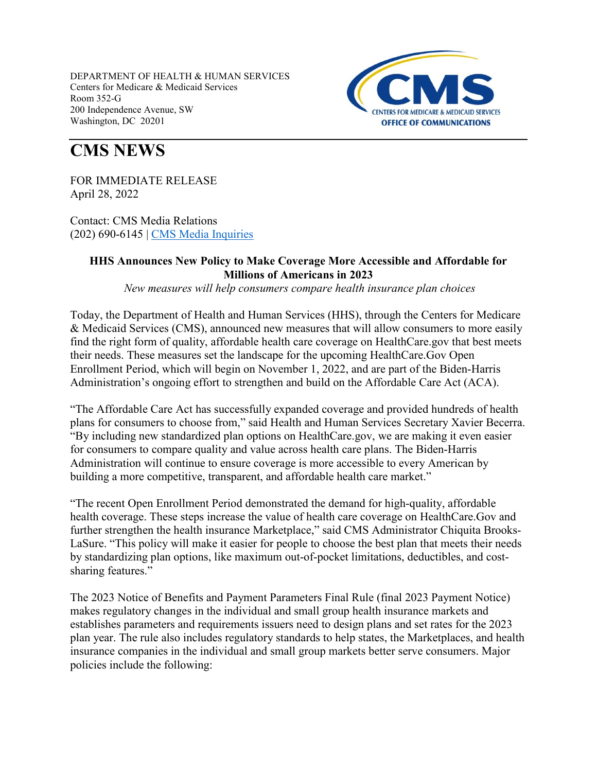

# **CMS NEWS**

FOR IMMEDIATE RELEASE April 28, 2022

Contact: CMS Media Relations (202) 690-6145 | [CMS Media Inquiries](http://go.cms.gov/media)

## **HHS Announces New Policy to Make Coverage More Accessible and Affordable for Millions of Americans in 2023**

*New measures will help consumers compare health insurance plan choices*

Today, the Department of Health and Human Services (HHS), through the Centers for Medicare & Medicaid Services (CMS), announced new measures that will allow consumers to more easily find the right form of quality, affordable health care coverage on HealthCare.gov that best meets their needs. These measures set the landscape for the upcoming HealthCare.Gov Open Enrollment Period, which will begin on November 1, 2022, and are part of the Biden-Harris Administration's ongoing effort to strengthen and build on the Affordable Care Act (ACA).

"The Affordable Care Act has successfully expanded coverage and provided hundreds of health plans for consumers to choose from," said Health and Human Services Secretary Xavier Becerra. "By including new standardized plan options on HealthCare.gov, we are making it even easier for consumers to compare quality and value across health care plans. The Biden-Harris Administration will continue to ensure coverage is more accessible to every American by building a more competitive, transparent, and affordable health care market."

"The recent Open Enrollment Period demonstrated the demand for high-quality, affordable health coverage. These steps increase the value of health care coverage on HealthCare.Gov and further strengthen the health insurance Marketplace," said CMS Administrator Chiquita Brooks-LaSure. "This policy will make it easier for people to choose the best plan that meets their needs by standardizing plan options, like maximum out-of-pocket limitations, deductibles, and costsharing features."

The 2023 Notice of Benefits and Payment Parameters Final Rule (final 2023 Payment Notice) makes regulatory changes in the individual and small group health insurance markets and establishes parameters and requirements issuers need to design plans and set rates for the 2023 plan year. The rule also includes regulatory standards to help states, the Marketplaces, and health insurance companies in the individual and small group markets better serve consumers. Major policies include the following: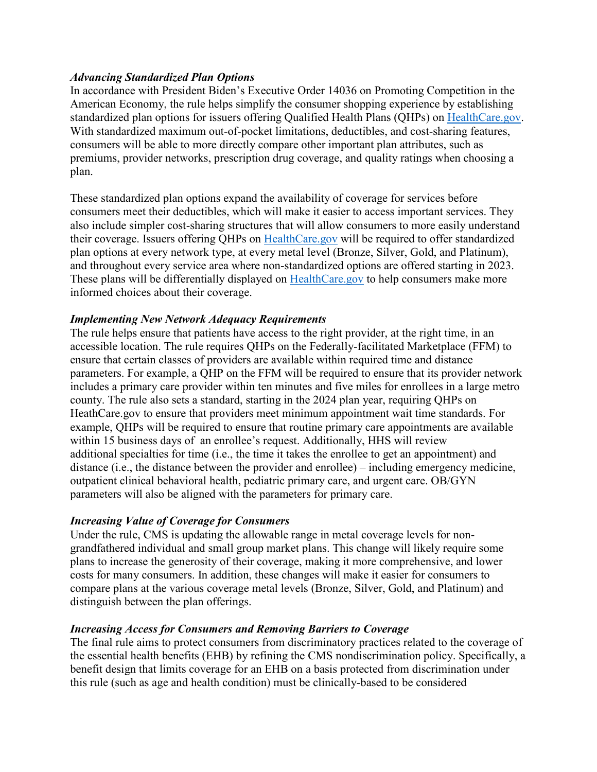#### *Advancing Standardized Plan Options*

In accordance with President Biden's Executive Order 14036 on Promoting Competition in the American Economy, the rule helps simplify the consumer shopping experience by establishing standardized plan options for issuers offering Qualified Health Plans (QHPs) on [HealthCare.gov.](https://gcc02.safelinks.protection.outlook.com/?url=https%3A%2F%2Fwww.healthcare.gov%2F&data=05%7C01%7CKamara.Jones%40hhs.gov%7Cdc53e74c92474f84a22608da2728b3cf%7Cd58addea50534a808499ba4d944910df%7C0%7C0%7C637865353005854398%7CUnknown%7CTWFpbGZsb3d8eyJWIjoiMC4wLjAwMDAiLCJQIjoiV2luMzIiLCJBTiI6Ik1haWwiLCJXVCI6Mn0%3D%7C3000%7C%7C%7C&sdata=%2BlwAm4cyzBvcjWWnPWRiqcpQ%2BUPPCkYUeY0%2B4uT62HU%3D&reserved=0) With standardized maximum out-of-pocket limitations, deductibles, and cost-sharing features, consumers will be able to more directly compare other important plan attributes, such as premiums, provider networks, prescription drug coverage, and quality ratings when choosing a plan.

These standardized plan options expand the availability of coverage for services before consumers meet their deductibles, which will make it easier to access important services. They also include simpler cost-sharing structures that will allow consumers to more easily understand their coverage. Issuers offering QHPs on [HealthCare.gov](https://gcc02.safelinks.protection.outlook.com/?url=https%3A%2F%2Fwww.healthcare.gov%2F&data=05%7C01%7CKamara.Jones%40hhs.gov%7Cdc53e74c92474f84a22608da2728b3cf%7Cd58addea50534a808499ba4d944910df%7C0%7C0%7C637865353005854398%7CUnknown%7CTWFpbGZsb3d8eyJWIjoiMC4wLjAwMDAiLCJQIjoiV2luMzIiLCJBTiI6Ik1haWwiLCJXVCI6Mn0%3D%7C3000%7C%7C%7C&sdata=%2BlwAm4cyzBvcjWWnPWRiqcpQ%2BUPPCkYUeY0%2B4uT62HU%3D&reserved=0) will be required to offer standardized plan options at every network type, at every metal level (Bronze, Silver, Gold, and Platinum), and throughout every service area where non-standardized options are offered starting in 2023. These plans will be differentially displayed on [HealthCare.gov](https://gcc02.safelinks.protection.outlook.com/?url=https%3A%2F%2Fwww.healthcare.gov%2F&data=05%7C01%7CKamara.Jones%40hhs.gov%7Cdc53e74c92474f84a22608da2728b3cf%7Cd58addea50534a808499ba4d944910df%7C0%7C0%7C637865353005854398%7CUnknown%7CTWFpbGZsb3d8eyJWIjoiMC4wLjAwMDAiLCJQIjoiV2luMzIiLCJBTiI6Ik1haWwiLCJXVCI6Mn0%3D%7C3000%7C%7C%7C&sdata=%2BlwAm4cyzBvcjWWnPWRiqcpQ%2BUPPCkYUeY0%2B4uT62HU%3D&reserved=0) to help consumers make more informed choices about their coverage.

## *Implementing New Network Adequacy Requirements*

The rule helps ensure that patients have access to the right provider, at the right time, in an accessible location. The rule requires QHPs on the Federally-facilitated Marketplace (FFM) to ensure that certain classes of providers are available within required time and distance parameters. For example, a QHP on the FFM will be required to ensure that its provider network includes a primary care provider within ten minutes and five miles for enrollees in a large metro county. The rule also sets a standard, starting in the 2024 plan year, requiring QHPs on HeathCare.gov to ensure that providers meet minimum appointment wait time standards. For example, QHPs will be required to ensure that routine primary care appointments are available within 15 business days of an enrollee's request. Additionally, HHS will review additional specialties for time (i.e., the time it takes the enrollee to get an appointment) and distance (i.e., the distance between the provider and enrollee) – including emergency medicine, outpatient clinical behavioral health, pediatric primary care, and urgent care. OB/GYN parameters will also be aligned with the parameters for primary care.

#### *Increasing Value of Coverage for Consumers*

Under the rule, CMS is updating the allowable range in metal coverage levels for nongrandfathered individual and small group market plans. This change will likely require some plans to increase the generosity of their coverage, making it more comprehensive, and lower costs for many consumers. In addition, these changes will make it easier for consumers to compare plans at the various coverage metal levels (Bronze, Silver, Gold, and Platinum) and distinguish between the plan offerings.

#### *Increasing Access for Consumers and Removing Barriers to Coverage*

The final rule aims to protect consumers from discriminatory practices related to the coverage of the essential health benefits (EHB) by refining the CMS nondiscrimination policy. Specifically, a benefit design that limits coverage for an EHB on a basis protected from discrimination under this rule (such as age and health condition) must be clinically-based to be considered